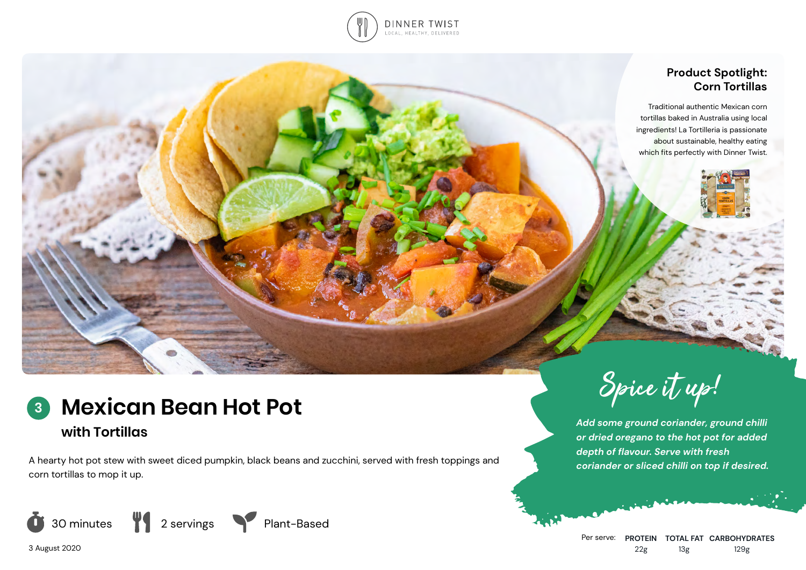

## **Product Spotlight: Corn Tortillas**

Traditional authentic Mexican corn tortillas baked in Australia using local ingredients! La Tortilleria is passionate about sustainable, healthy eating which fits perfectly with Dinner Twist.

## **Mexican Bean Hot Pot with Tortillas 3**

A hearty hot pot stew with sweet diced pumpkin, black beans and zucchini, served with fresh toppings and corn tortillas to mop it up.









*Add some ground coriander, ground chilli or dried oregano to the hot pot for added depth of flavour. Serve with fresh coriander or sliced chilli on top if desired.*